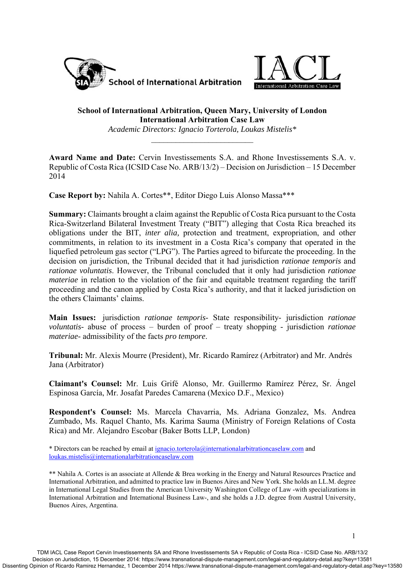



## **School of International Arbitration, Queen Mary, University of London International Arbitration Case Law**

*Academic Directors: Ignacio Torterola, Loukas Mistelis\** 

**Award Name and Date:** Cervin Investissements S.A. and Rhone Investissements S.A. v. Republic of Costa Rica (ICSID Case No. ARB/13/2) – Decision on Jurisdiction – 15 December 2014

**Case Report by:** Nahila A. Cortes\*\*, Editor Diego Luis Alonso Massa\*\*\*

**Summary:** Claimants brought a claim against the Republic of Costa Rica pursuant to the Costa Rica-Switzerland Bilateral Investment Treaty ("BIT") alleging that Costa Rica breached its obligations under the BIT, *inter alia,* protection and treatment, expropriation, and other commitments, in relation to its investment in a Costa Rica's company that operated in the liquefied petroleum gas sector ("LPG"). The Parties agreed to bifurcate the proceeding. In the decision on jurisdiction, the Tribunal decided that it had jurisdiction *rationae temporis* and *rationae voluntatis*. However, the Tribunal concluded that it only had jurisdiction *rationae materiae* in relation to the violation of the fair and equitable treatment regarding the tariff proceeding and the canon applied by Costa Rica's authority, and that it lacked jurisdiction on the others Claimants' claims.

**Main Issues:** jurisdiction *rationae temporis*- State responsibility- jurisdiction *rationae voluntatis*- abuse of process – burden of proof – treaty shopping - jurisdiction *rationae materiae*- admissibility of the facts *pro tempore*.

**Tribunal:** Mr. Alexis Mourre (President), Mr. Ricardo Ramírez (Arbitrator) and Mr. Andrés Jana (Arbitrator)

**Claimant's Counsel:** Mr. Luis Grifé Alonso, Mr. Guillermo Ramírez Pérez, Sr. Ángel Espinosa García, Mr. Josafat Paredes Camarena (Mexico D.F., Mexico)

**Respondent's Counsel:** Ms. Marcela Chavarria, Ms. Adriana Gonzalez, Ms. Andrea Zumbado, Ms. Raquel Chanto, Ms. Karima Sauma (Ministry of Foreign Relations of Costa Rica) and Mr. Alejandro Escobar (Baker Botts LLP, London)

\* Directors can be reached by email at ignacio.torterola@internationalarbitrationcaselaw.com and loukas.mistelis@internationalarbitrationcaselaw.com

\*\* Nahila A. Cortes is an associate at Allende & Brea working in the Energy and Natural Resources Practice and International Arbitration, and admitted to practice law in Buenos Aires and New York. She holds an LL.M. degree in International Legal Studies from the American University Washington College of Law -with specializations in International Arbitration and International Business Law-, and she holds a J.D. degree from Austral University, Buenos Aires, Argentina.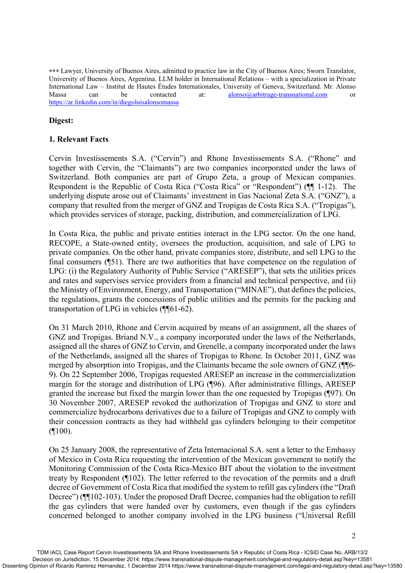Lawyer, University of Buenos Aires, admitted to practice law in the City of Buenos Aires; Sworn Translator, University of Buenos Aires, Argentina. LLM holder in International Relations – with a specialization in Private International Law – Institut de Hautes Études Internationales, University of Geneva, Switzerland. Mr. Alonso Massa can be contacted at: alonso@arbitrage-transnational.com or https://ar.linkedin.com/in/diegoluisalonsomassa

## **Digest:**

### **1. Relevant Facts**

Cervin Investissements S.A. ("Cervin") and Rhone Investissements S.A. ("Rhone" and together with Cervin, the "Claimants") are two companies incorporated under the laws of Switzerland. Both companies are part of Grupo Zeta, a group of Mexican companies. Respondent is the Republic of Costa Rica ("Costa Rica" or "Respondent") (¶¶ 1-12). The underlying dispute arose out of Claimants' investment in Gas Nacional Zeta S.A. ("GNZ"), a company that resulted from the merger of GNZ and Tropigas de Costa Rica S.A. ("Tropigas"), which provides services of storage, packing, distribution, and commercialization of LPG.

In Costa Rica, the public and private entities interact in the LPG sector. On the one hand, RECOPE, a State-owned entity, oversees the production, acquisition, and sale of LPG to private companies. On the other hand, private companies store, distribute, and sell LPG to the final consumers (¶51). There are two authorities that have competence on the regulation of LPG: (i) the Regulatory Authority of Public Service ("ARESEP"), that sets the utilities prices and rates and supervises service providers from a financial and technical perspective, and (ii) the Ministry of Environment, Energy, and Transportation ("MINAE"), that defines the policies, the regulations, grants the concessions of public utilities and the permits for the packing and transportation of LPG in vehicles (¶¶61-62).

On 31 March 2010, Rhone and Cervin acquired by means of an assignment, all the shares of GNZ and Tropigas. Briand N.V., a company incorporated under the laws of the Netherlands, assigned all the shares of GNZ to Cervin, and Grenelle, a company incorporated under the laws of the Netherlands, assigned all the shares of Tropigas to Rhone. In October 2011, GNZ was merged by absorption into Tropigas, and the Claimants became the sole owners of GNZ (¶¶6- 9). On 22 September 2006, Tropigas requested ARESEP an increase in the commercialization margin for the storage and distribution of LPG (¶96). After administrative fillings, ARESEP granted the increase but fixed the margin lower than the one requested by Tropigas (¶97). On 30 November 2007, ARESEP revoked the authorization of Tropigas and GNZ to store and commercialize hydrocarbons derivatives due to a failure of Tropigas and GNZ to comply with their concession contracts as they had withheld gas cylinders belonging to their competitor  $($ [100).

On 25 January 2008, the representative of Zeta Internacional S.A. sent a letter to the Embassy of Mexico in Costa Rica requesting the intervention of the Mexican government to notify the Monitoring Commission of the Costa Rica-Mexico BIT about the violation to the investment treaty by Respondent (¶102). The letter referred to the revocation of the permits and a draft decree of Government of Costa Rica that modified the system to refill gas cylinders (the "Draft Decree") ( $\P$ [102-103). Under the proposed Draft Decree, companies had the obligation to refill the gas cylinders that were handed over by customers, even though if the gas cylinders concerned belonged to another company involved in the LPG business ("Universal Refill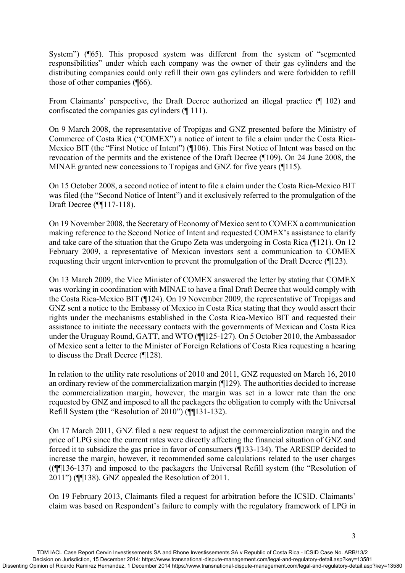System") (¶65). This proposed system was different from the system of "segmented responsibilities" under which each company was the owner of their gas cylinders and the distributing companies could only refill their own gas cylinders and were forbidden to refill those of other companies (¶66).

From Claimants' perspective, the Draft Decree authorized an illegal practice (¶ 102) and confiscated the companies gas cylinders (¶ 111).

On 9 March 2008, the representative of Tropigas and GNZ presented before the Ministry of Commerce of Costa Rica ("COMEX") a notice of intent to file a claim under the Costa Rica-Mexico BIT (the "First Notice of Intent") (¶106). This First Notice of Intent was based on the revocation of the permits and the existence of the Draft Decree (¶109). On 24 June 2008, the MINAE granted new concessions to Tropigas and GNZ for five years (¶115).

On 15 October 2008, a second notice of intent to file a claim under the Costa Rica-Mexico BIT was filed (the "Second Notice of Intent") and it exclusively referred to the promulgation of the Draft Decree (¶¶117-118).

On 19 November 2008, the Secretary of Economy of Mexico sent to COMEX a communication making reference to the Second Notice of Intent and requested COMEX's assistance to clarify and take care of the situation that the Grupo Zeta was undergoing in Costa Rica (¶121). On 12 February 2009, a representative of Mexican investors sent a communication to COMEX requesting their urgent intervention to prevent the promulgation of the Draft Decree (¶123).

On 13 March 2009, the Vice Minister of COMEX answered the letter by stating that COMEX was working in coordination with MINAE to have a final Draft Decree that would comply with the Costa Rica-Mexico BIT (¶124). On 19 November 2009, the representative of Tropigas and GNZ sent a notice to the Embassy of Mexico in Costa Rica stating that they would assert their rights under the mechanisms established in the Costa Rica-Mexico BIT and requested their assistance to initiate the necessary contacts with the governments of Mexican and Costa Rica under the Uruguay Round, GATT, and WTO (¶¶125-127). On 5 October 2010, the Ambassador of Mexico sent a letter to the Minister of Foreign Relations of Costa Rica requesting a hearing to discuss the Draft Decree (¶128).

In relation to the utility rate resolutions of 2010 and 2011, GNZ requested on March 16, 2010 an ordinary review of the commercialization margin (¶129). The authorities decided to increase the commercialization margin, however, the margin was set in a lower rate than the one requested by GNZ and imposed to all the packagers the obligation to comply with the Universal Refill System (the "Resolution of 2010") (¶¶131-132).

On 17 March 2011, GNZ filed a new request to adjust the commercialization margin and the price of LPG since the current rates were directly affecting the financial situation of GNZ and forced it to subsidize the gas price in favor of consumers (¶133-134). The ARESEP decided to increase the margin, however, it recommended some calculations related to the user charges ((¶¶136-137) and imposed to the packagers the Universal Refill system (the "Resolution of 2011") (¶¶138). GNZ appealed the Resolution of 2011.

On 19 February 2013, Claimants filed a request for arbitration before the ICSID. Claimants' claim was based on Respondent's failure to comply with the regulatory framework of LPG in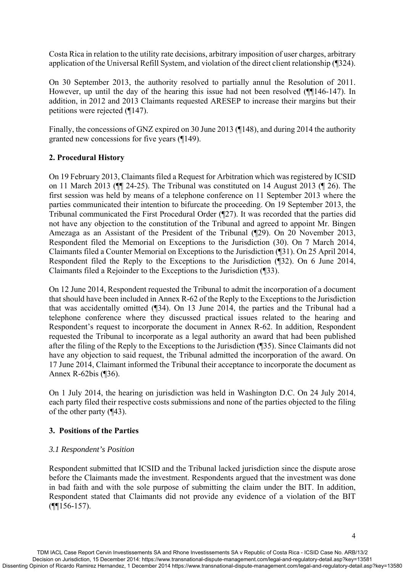Costa Rica in relation to the utility rate decisions, arbitrary imposition of user charges, arbitrary application of the Universal Refill System, and violation of the direct client relationship (¶324).

On 30 September 2013, the authority resolved to partially annul the Resolution of 2011. However, up until the day of the hearing this issue had not been resolved (¶¶146-147). In addition, in 2012 and 2013 Claimants requested ARESEP to increase their margins but their petitions were rejected (¶147).

Finally, the concessions of GNZ expired on 30 June 2013 (¶148), and during 2014 the authority granted new concessions for five years (¶149).

# **2. Procedural History**

On 19 February 2013, Claimants filed a Request for Arbitration which was registered by ICSID on 11 March 2013 (¶¶ 24-25). The Tribunal was constituted on 14 August 2013 (¶ 26). The first session was held by means of a telephone conference on 11 September 2013 where the parties communicated their intention to bifurcate the proceeding. On 19 September 2013, the Tribunal communicated the First Procedural Order (¶27). It was recorded that the parties did not have any objection to the constitution of the Tribunal and agreed to appoint Mr. Bingen Amezaga as an Assistant of the President of the Tribunal (¶29). On 20 November 2013, Respondent filed the Memorial on Exceptions to the Jurisdiction (30). On 7 March 2014, Claimants filed a Counter Memorial on Exceptions to the Jurisdiction (¶31). On 25 April 2014, Respondent filed the Reply to the Exceptions to the Jurisdiction (¶32). On 6 June 2014, Claimants filed a Rejoinder to the Exceptions to the Jurisdiction (¶33).

On 12 June 2014, Respondent requested the Tribunal to admit the incorporation of a document that should have been included in Annex R-62 of the Reply to the Exceptions to the Jurisdiction that was accidentally omitted (¶34). On 13 June 2014, the parties and the Tribunal had a telephone conference where they discussed practical issues related to the hearing and Respondent's request to incorporate the document in Annex R-62. In addition, Respondent requested the Tribunal to incorporate as a legal authority an award that had been published after the filing of the Reply to the Exceptions to the Jurisdiction (¶35). Since Claimants did not have any objection to said request, the Tribunal admitted the incorporation of the award. On 17 June 2014, Claimant informed the Tribunal their acceptance to incorporate the document as Annex R-62bis (¶36).

On 1 July 2014, the hearing on jurisdiction was held in Washington D.C. On 24 July 2014, each party filed their respective costs submissions and none of the parties objected to the filing of the other party (¶43).

## **3. Positions of the Parties**

## *3.1 Respondent's Position*

Respondent submitted that ICSID and the Tribunal lacked jurisdiction since the dispute arose before the Claimants made the investment. Respondents argued that the investment was done in bad faith and with the sole purpose of submitting the claim under the BIT. In addition, Respondent stated that Claimants did not provide any evidence of a violation of the BIT  $($ ¶[156-157).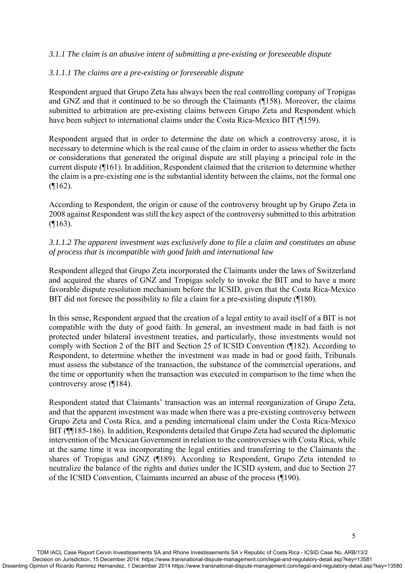### *3.1.1 The claim is an abusive intent of submitting a pre-existing or foreseeable dispute*

#### *3.1.1.1 The claims are a pre-existing or foreseeable dispute*

Respondent argued that Grupo Zeta has always been the real controlling company of Tropigas and GNZ and that it continued to be so through the Claimants (¶158). Moreover, the claims submitted to arbitration are pre-existing claims between Grupo Zeta and Respondent which have been subject to international claims under the Costa Rica-Mexico BIT (¶159).

Respondent argued that in order to determine the date on which a controversy arose, it is necessary to determine which is the real cause of the claim in order to assess whether the facts or considerations that generated the original dispute are still playing a principal role in the current dispute (¶161). In addition, Respondent claimed that the criterion to determine whether the claim is a pre-existing one is the substantial identity between the claims, not the formal one (¶162).

According to Respondent, the origin or cause of the controversy brought up by Grupo Zeta in 2008 against Respondent was still the key aspect of the controversy submitted to this arbitration (¶163).

### *3.1.1.2 The apparent investment was exclusively done to file a claim and constitutes an abuse of process that is incompatible with good faith and international law*

Respondent alleged that Grupo Zeta incorporated the Claimants under the laws of Switzerland and acquired the shares of GNZ and Tropigas solely to invoke the BIT and to have a more favorable dispute resolution mechanism before the ICSID, given that the Costa Rica-Mexico BIT did not foresee the possibility to file a claim for a pre-existing dispute (¶180).

In this sense, Respondent argued that the creation of a legal entity to avail itself of a BIT is not compatible with the duty of good faith. In general, an investment made in bad faith is not protected under bilateral investment treaties, and particularly, those investments would not comply with Section 2 of the BIT and Section 25 of ICSID Convention (¶182). According to Respondent, to determine whether the investment was made in bad or good faith, Tribunals must assess the substance of the transaction, the substance of the commercial operations, and the time or opportunity when the transaction was executed in comparison to the time when the controversy arose (¶184).

Respondent stated that Claimants' transaction was an internal reorganization of Grupo Zeta, and that the apparent investment was made when there was a pre-existing controversy between Grupo Zeta and Costa Rica, and a pending international claim under the Costa Rica-Mexico BIT ( $\P$ [185-186). In addition, Respondents detailed that Grupo Zeta had secured the diplomatic intervention of the Mexican Government in relation to the controversies with Costa Rica, while at the same time it was incorporating the legal entities and transferring to the Claimants the shares of Tropigas and GNZ (¶189). According to Respondent, Grupo Zeta intended to neutralize the balance of the rights and duties under the ICSID system, and due to Section 27 of the ICSID Convention, Claimants incurred an abuse of the process (¶190).

5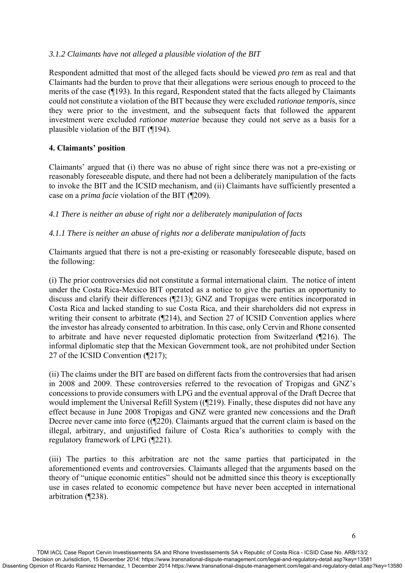## *3.1.2 Claimants have not alleged a plausible violation of the BIT*

Respondent admitted that most of the alleged facts should be viewed *pro tem* as real and that Claimants had the burden to prove that their allegations were serious enough to proceed to the merits of the case (¶193). In this regard, Respondent stated that the facts alleged by Claimants could not constitute a violation of the BIT because they were excluded *rationae tempori*s, since they were prior to the investment, and the subsequent facts that followed the apparent investment were excluded *rationae materiae* because they could not serve as a basis for a plausible violation of the BIT (¶194).

## **4. Claimants' position**

Claimants' argued that (i) there was no abuse of right since there was not a pre-existing or reasonably foreseeable dispute, and there had not been a deliberately manipulation of the facts to invoke the BIT and the ICSID mechanism, and (ii) Claimants have sufficiently presented a case on a *prima facie* violation of the BIT (¶209).

*4.1 There is neither an abuse of right nor a deliberately manipulation of facts* 

### *4.1.1 There is neither an abuse of rights nor a deliberate manipulation of facts*

Claimants argued that there is not a pre-existing or reasonably foreseeable dispute, based on the following:

(i) The prior controversies did not constitute a formal international claim. The notice of intent under the Costa Rica-Mexico BIT operated as a notice to give the parties an opportunity to discuss and clarify their differences (¶213); GNZ and Tropigas were entities incorporated in Costa Rica and lacked standing to sue Costa Rica, and their shareholders did not express in writing their consent to arbitrate (¶214), and Section 27 of ICSID Convention applies where the investor has already consented to arbitration. In this case, only Cervin and Rhone consented to arbitrate and have never requested diplomatic protection from Switzerland (¶216). The informal diplomatic step that the Mexican Government took, are not prohibited under Section 27 of the ICSID Convention (¶217);

(ii) The claims under the BIT are based on different facts from the controversies that had arisen in 2008 and 2009. These controversies referred to the revocation of Tropigas and GNZ's concessions to provide consumers with LPG and the eventual approval of the Draft Decree that would implement the Universal Refill System ((¶219). Finally, these disputes did not have any effect because in June 2008 Tropigas and GNZ were granted new concessions and the Draft Decree never came into force ((¶220). Claimants argued that the current claim is based on the illegal, arbitrary, and unjustified failure of Costa Rica's authorities to comply with the regulatory framework of LPG (¶221).

(iii) The parties to this arbitration are not the same parties that participated in the aforementioned events and controversies. Claimants alleged that the arguments based on the theory of "unique economic entities" should not be admitted since this theory is exceptionally use in cases related to economic competence but have never been accepted in international arbitration (¶238).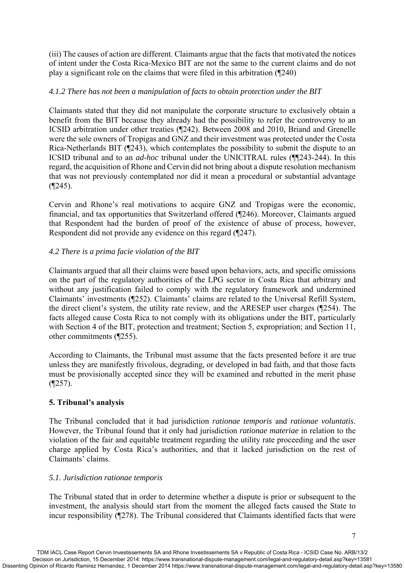(iii) The causes of action are different. Claimants argue that the facts that motivated the notices of intent under the Costa Rica-Mexico BIT are not the same to the current claims and do not play a significant role on the claims that were filed in this arbitration (¶240)

## *4.1.2 There has not been a manipulation of facts to obtain protection under the BIT*

Claimants stated that they did not manipulate the corporate structure to exclusively obtain a benefit from the BIT because they already had the possibility to refer the controversy to an ICSID arbitration under other treaties (¶242). Between 2008 and 2010, Briand and Grenelle were the sole owners of Tropigas and GNZ and their investment was protected under the Costa Rica-Netherlands BIT (¶243), which contemplates the possibility to submit the dispute to an ICSID tribunal and to an *ad-hoc* tribunal under the UNICITRAL rules (¶¶243-244). In this regard, the acquisition of Rhone and Cervin did not bring about a dispute resolution mechanism that was not previously contemplated nor did it mean a procedural or substantial advantage (¶245).

Cervin and Rhone's real motivations to acquire GNZ and Tropigas were the economic, financial, and tax opportunities that Switzerland offered (¶246). Moreover, Claimants argued that Respondent had the burden of proof of the existence of abuse of process, however, Respondent did not provide any evidence on this regard (¶247).

# *4.2 There is a prima facie violation of the BIT*

Claimants argued that all their claims were based upon behaviors, acts, and specific omissions on the part of the regulatory authorities of the LPG sector in Costa Rica that arbitrary and without any justification failed to comply with the regulatory framework and undermined Claimants' investments (¶252). Claimants' claims are related to the Universal Refill System, the direct client's system, the utility rate review, and the ARESEP user charges (¶254). The facts alleged cause Costa Rica to not comply with its obligations under the BIT, particularly with Section 4 of the BIT, protection and treatment; Section 5, expropriation; and Section 11, other commitments (¶255).

According to Claimants, the Tribunal must assume that the facts presented before it are true unless they are manifestly frivolous, degrading, or developed in bad faith, and that those facts must be provisionally accepted since they will be examined and rebutted in the merit phase  $($ [257).

## **5. Tribunal's analysis**

The Tribunal concluded that it had jurisdiction *rationae temporis* and *rationae voluntatis*. However, the Tribunal found that it only had jurisdiction *rationae materiae* in relation to the violation of the fair and equitable treatment regarding the utility rate proceeding and the user charge applied by Costa Rica's authorities, and that it lacked jurisdiction on the rest of Claimants' claims.

## *5.1. Jurisdiction rationae temporis*

The Tribunal stated that in order to determine whether a dispute is prior or subsequent to the investment, the analysis should start from the moment the alleged facts caused the State to incur responsibility (¶278). The Tribunal considered that Claimants identified facts that were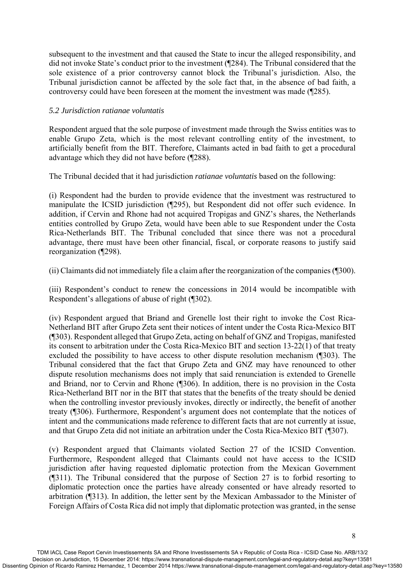subsequent to the investment and that caused the State to incur the alleged responsibility, and did not invoke State's conduct prior to the investment (¶284). The Tribunal considered that the sole existence of a prior controversy cannot block the Tribunal's jurisdiction. Also, the Tribunal jurisdiction cannot be affected by the sole fact that, in the absence of bad faith, a controversy could have been foreseen at the moment the investment was made (¶285).

### *5.2 Jurisdiction ratianae voluntatis*

Respondent argued that the sole purpose of investment made through the Swiss entities was to enable Grupo Zeta, which is the most relevant controlling entity of the investment, to artificially benefit from the BIT. Therefore, Claimants acted in bad faith to get a procedural advantage which they did not have before (¶288).

The Tribunal decided that it had jurisdiction *ratianae voluntatis* based on the following:

(i) Respondent had the burden to provide evidence that the investment was restructured to manipulate the ICSID jurisdiction (¶295), but Respondent did not offer such evidence. In addition, if Cervin and Rhone had not acquired Tropigas and GNZ's shares, the Netherlands entities controlled by Grupo Zeta, would have been able to sue Respondent under the Costa Rica-Netherlands BIT. The Tribunal concluded that since there was not a procedural advantage, there must have been other financial, fiscal, or corporate reasons to justify said reorganization (¶298).

(ii) Claimants did not immediately file a claim after the reorganization of the companies (¶300).

(iii) Respondent's conduct to renew the concessions in 2014 would be incompatible with Respondent's allegations of abuse of right (¶302).

(iv) Respondent argued that Briand and Grenelle lost their right to invoke the Cost Rica-Netherland BIT after Grupo Zeta sent their notices of intent under the Costa Rica-Mexico BIT (¶303). Respondent alleged that Grupo Zeta, acting on behalf of GNZ and Tropigas, manifested its consent to arbitration under the Costa Rica-Mexico BIT and section 13-22(1) of that treaty excluded the possibility to have access to other dispute resolution mechanism (¶303). The Tribunal considered that the fact that Grupo Zeta and GNZ may have renounced to other dispute resolution mechanisms does not imply that said renunciation is extended to Grenelle and Briand, nor to Cervin and Rhone (¶306). In addition, there is no provision in the Costa Rica-Netherland BIT nor in the BIT that states that the benefits of the treaty should be denied when the controlling investor previously invokes, directly or indirectly, the benefit of another treaty (¶306). Furthermore, Respondent's argument does not contemplate that the notices of intent and the communications made reference to different facts that are not currently at issue, and that Grupo Zeta did not initiate an arbitration under the Costa Rica-Mexico BIT (¶307).

(v) Respondent argued that Claimants violated Section 27 of the ICSID Convention. Furthermore, Respondent alleged that Claimants could not have access to the ICSID jurisdiction after having requested diplomatic protection from the Mexican Government (¶311). The Tribunal considered that the purpose of Section 27 is to forbid resorting to diplomatic protection once the parties have already consented or have already resorted to arbitration (¶313). In addition, the letter sent by the Mexican Ambassador to the Minister of Foreign Affairs of Costa Rica did not imply that diplomatic protection was granted, in the sense

8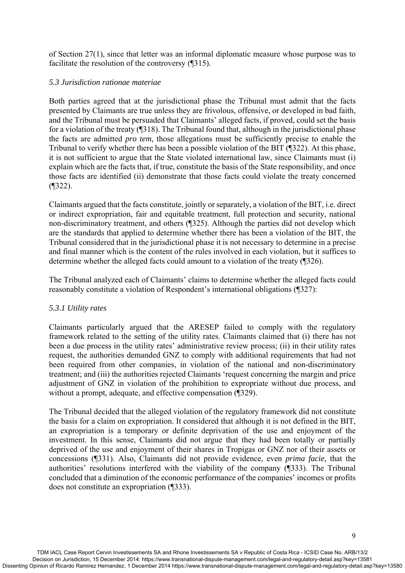of Section 27(1), since that letter was an informal diplomatic measure whose purpose was to facilitate the resolution of the controversy (¶315).

### *5.3 Jurisdiction rationae materiae*

Both parties agreed that at the jurisdictional phase the Tribunal must admit that the facts presented by Claimants are true unless they are frivolous, offensive, or developed in bad faith, and the Tribunal must be persuaded that Claimants' alleged facts, if proved, could set the basis for a violation of the treaty (¶318). The Tribunal found that, although in the jurisdictional phase the facts are admitted *pro tem*, those allegations must be sufficiently precise to enable the Tribunal to verify whether there has been a possible violation of the BIT (¶322). At this phase, it is not sufficient to argue that the State violated international law, since Claimants must (i) explain which are the facts that, if true, constitute the basis of the State responsibility, and once those facts are identified (ii) demonstrate that those facts could violate the treaty concerned (¶322).

Claimants argued that the facts constitute, jointly or separately, a violation of the BIT, i.e. direct or indirect expropriation, fair and equitable treatment, full protection and security, national non-discriminatory treatment, and others (¶325). Although the parties did not develop which are the standards that applied to determine whether there has been a violation of the BIT, the Tribunal considered that in the jurisdictional phase it is not necessary to determine in a precise and final manner which is the content of the rules involved in each violation, but it suffices to determine whether the alleged facts could amount to a violation of the treaty (¶326).

The Tribunal analyzed each of Claimants' claims to determine whether the alleged facts could reasonably constitute a violation of Respondent's international obligations (¶327):

## *5.3.1 Utility rates*

Claimants particularly argued that the ARESEP failed to comply with the regulatory framework related to the setting of the utility rates. Claimants claimed that (i) there has not been a due process in the utility rates' administrative review process; (ii) in their utility rates request, the authorities demanded GNZ to comply with additional requirements that had not been required from other companies, in violation of the national and non-discriminatory treatment; and (iii) the authorities rejected Claimants 'request concerning the margin and price adjustment of GNZ in violation of the prohibition to expropriate without due process, and without a prompt, adequate, and effective compensation (¶329).

The Tribunal decided that the alleged violation of the regulatory framework did not constitute the basis for a claim on expropriation. It considered that although it is not defined in the BIT, an expropriation is a temporary or definite deprivation of the use and enjoyment of the investment. In this sense, Claimants did not argue that they had been totally or partially deprived of the use and enjoyment of their shares in Tropigas or GNZ nor of their assets or concessions (¶331). Also, Claimants did not provide evidence, even *prima facie*, that the authorities' resolutions interfered with the viability of the company (¶333). The Tribunal concluded that a diminution of the economic performance of the companies' incomes or profits does not constitute an expropriation (¶333).

 $\overline{Q}$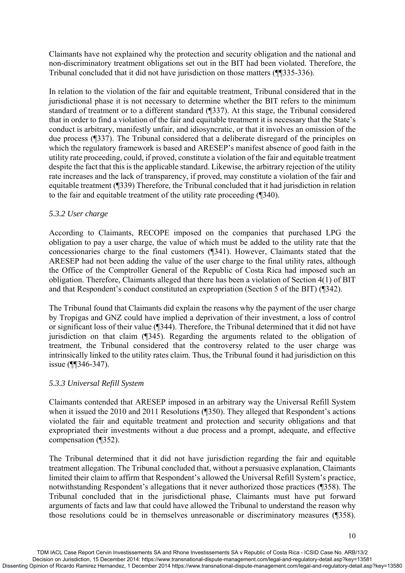Claimants have not explained why the protection and security obligation and the national and non-discriminatory treatment obligations set out in the BIT had been violated. Therefore, the Tribunal concluded that it did not have jurisdiction on those matters (¶¶335-336).

In relation to the violation of the fair and equitable treatment, Tribunal considered that in the jurisdictional phase it is not necessary to determine whether the BIT refers to the minimum standard of treatment or to a different standard (¶337). At this stage, the Tribunal considered that in order to find a violation of the fair and equitable treatment it is necessary that the State's conduct is arbitrary, manifestly unfair, and idiosyncratic, or that it involves an omission of the due process (¶337). The Tribunal considered that a deliberate disregard of the principles on which the regulatory framework is based and ARESEP's manifest absence of good faith in the utility rate proceeding, could, if proved, constitute a violation of the fair and equitable treatment despite the fact that this is the applicable standard. Likewise, the arbitrary rejection of the utility rate increases and the lack of transparency, if proved, may constitute a violation of the fair and equitable treatment (¶339) Therefore, the Tribunal concluded that it had jurisdiction in relation to the fair and equitable treatment of the utility rate proceeding (¶340).

## *5.3.2 User charge*

According to Claimants, RECOPE imposed on the companies that purchased LPG the obligation to pay a user charge, the value of which must be added to the utility rate that the concessionaries charge to the final customers (¶341). However, Claimants stated that the ARESEP had not been adding the value of the user charge to the final utility rates, although the Office of the Comptroller General of the Republic of Costa Rica had imposed such an obligation. Therefore, Claimants alleged that there has been a violation of Section 4(1) of BIT and that Respondent's conduct constituted an expropriation (Section 5 of the BIT) (¶342).

The Tribunal found that Claimants did explain the reasons why the payment of the user charge by Tropigas and GNZ could have implied a deprivation of their investment, a loss of control or significant loss of their value (¶344). Therefore, the Tribunal determined that it did not have jurisdiction on that claim (¶345). Regarding the arguments related to the obligation of treatment, the Tribunal considered that the controversy related to the user charge was intrinsically linked to the utility rates claim. Thus, the Tribunal found it had jurisdiction on this issue (¶¶346-347).

### *5.3.3 Universal Refill System*

Claimants contended that ARESEP imposed in an arbitrary way the Universal Refill System when it issued the 2010 and 2011 Resolutions (¶350). They alleged that Respondent's actions violated the fair and equitable treatment and protection and security obligations and that expropriated their investments without a due process and a prompt, adequate, and effective compensation (¶352).

The Tribunal determined that it did not have jurisdiction regarding the fair and equitable treatment allegation. The Tribunal concluded that, without a persuasive explanation, Claimants limited their claim to affirm that Respondent's allowed the Universal Refill System's practice, notwithstanding Respondent's allegations that it never authorized those practices (¶358). The Tribunal concluded that in the jurisdictional phase, Claimants must have put forward arguments of facts and law that could have allowed the Tribunal to understand the reason why those resolutions could be in themselves unreasonable or discriminatory measures (¶358).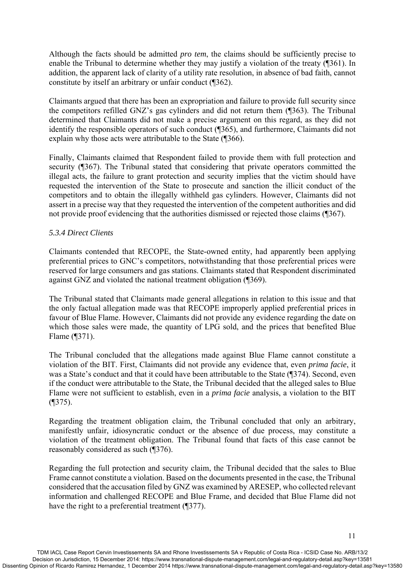Although the facts should be admitted *pro tem*, the claims should be sufficiently precise to enable the Tribunal to determine whether they may justify a violation of the treaty (¶361). In addition, the apparent lack of clarity of a utility rate resolution, in absence of bad faith, cannot constitute by itself an arbitrary or unfair conduct (¶362).

Claimants argued that there has been an expropriation and failure to provide full security since the competitors refilled GNZ's gas cylinders and did not return them (¶363). The Tribunal determined that Claimants did not make a precise argument on this regard, as they did not identify the responsible operators of such conduct (¶365), and furthermore, Claimants did not explain why those acts were attributable to the State (¶366).

Finally, Claimants claimed that Respondent failed to provide them with full protection and security (¶367). The Tribunal stated that considering that private operators committed the illegal acts, the failure to grant protection and security implies that the victim should have requested the intervention of the State to prosecute and sanction the illicit conduct of the competitors and to obtain the illegally withheld gas cylinders. However, Claimants did not assert in a precise way that they requested the intervention of the competent authorities and did not provide proof evidencing that the authorities dismissed or rejected those claims (¶367).

### *5.3.4 Direct Clients*

Claimants contended that RECOPE, the State-owned entity, had apparently been applying preferential prices to GNC's competitors, notwithstanding that those preferential prices were reserved for large consumers and gas stations. Claimants stated that Respondent discriminated against GNZ and violated the national treatment obligation (¶369).

The Tribunal stated that Claimants made general allegations in relation to this issue and that the only factual allegation made was that RECOPE improperly applied preferential prices in favour of Blue Flame. However, Claimants did not provide any evidence regarding the date on which those sales were made, the quantity of LPG sold, and the prices that benefited Blue Flame (¶371).

The Tribunal concluded that the allegations made against Blue Flame cannot constitute a violation of the BIT. First, Claimants did not provide any evidence that, even *prima facie*, it was a State's conduct and that it could have been attributable to the State (¶374). Second, even if the conduct were attributable to the State, the Tribunal decided that the alleged sales to Blue Flame were not sufficient to establish, even in a *prima facie* analysis, a violation to the BIT (¶375).

Regarding the treatment obligation claim, the Tribunal concluded that only an arbitrary, manifestly unfair, idiosyncratic conduct or the absence of due process, may constitute a violation of the treatment obligation. The Tribunal found that facts of this case cannot be reasonably considered as such (¶376).

Regarding the full protection and security claim, the Tribunal decided that the sales to Blue Frame cannot constitute a violation. Based on the documents presented in the case, the Tribunal considered that the accusation filed by GNZ was examined by ARESEP, who collected relevant information and challenged RECOPE and Blue Frame, and decided that Blue Flame did not have the right to a preferential treatment (¶377).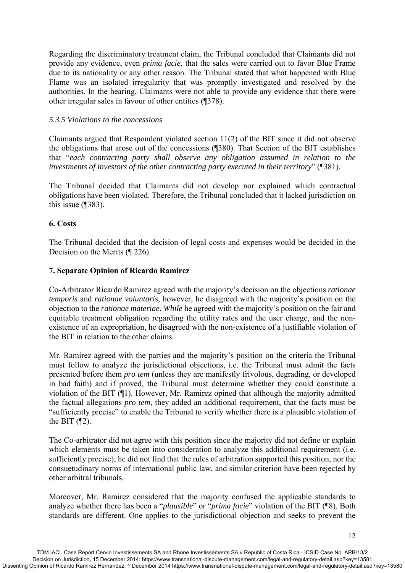Regarding the discriminatory treatment claim, the Tribunal concluded that Claimants did not provide any evidence, even *prima facie*, that the sales were carried out to favor Blue Frame due to its nationality or any other reason. The Tribunal stated that what happened with Blue Flame was an isolated irregularity that was promptly investigated and resolved by the authorities. In the hearing, Claimants were not able to provide any evidence that there were other irregular sales in favour of other entities (¶378).

### *5.3.5 Violations to the concessions*

Claimants argued that Respondent violated section 11(2) of the BIT since it did not observe the obligations that arose out of the concessions (¶380). That Section of the BIT establishes that "*each contracting party shall observe any obligation assumed in relation to the investments of investors of the other contracting party executed in their territory*" (¶381).

The Tribunal decided that Claimants did not develop nor explained which contractual obligations have been violated. Therefore, the Tribunal concluded that it lacked jurisdiction on this issue (¶383).

## **6. Costs**

The Tribunal decided that the decision of legal costs and expenses would be decided in the Decision on the Merits (¶ 226).

### **7. Separate Opinion of Ricardo Ramirez**

Co-Arbitrator Ricardo Ramirez agreed with the majority's decision on the objections *rationae temporis* and *rationae voluntaris,* however, he disagreed with the majority's position on the objection to the *rationae materiae. While* he agreed with the majority's position on the fair and equitable treatment obligation regarding the utility rates and the user charge, and the nonexistence of an expropriation, he disagreed with the non-existence of a justifiable violation of the BIT in relation to the other claims.

Mr. Ramirez agreed with the parties and the majority's position on the criteria the Tribunal must follow to analyze the jurisdictional objections, i.e. the Tribunal must admit the facts presented before them *pro tem* (unless they are manifestly frivolous, degrading, or developed in bad faith) and if proved, the Tribunal must determine whether they could constitute a violation of the BIT (¶1). However, Mr. Ramirez opined that although the majority admitted the factual allegations *pro tem*, they added an additional requirement, that the facts must be "sufficiently precise" to enable the Tribunal to verify whether there is a plausible violation of the BIT  $($ \P2).

The Co-arbitrator did not agree with this position since the majority did not define or explain which elements must be taken into consideration to analyze this additional requirement (i.e. sufficiently precise); he did not find that the rules of arbitration supported this position, nor the consuetudinary norms of international public law, and similar criterion have been rejected by other arbitral tribunals.

Moreover, Mr. Ramirez considered that the majority confused the applicable standards to analyze whether there has been a "*plausible*" or "*prima facie*" violation of the BIT (¶8). Both standards are different. One applies to the jurisdictional objection and seeks to prevent the